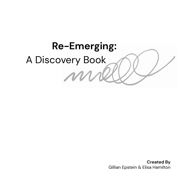

**Created By** Gillian Epstein & Elisa Hamilton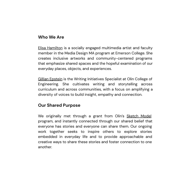#### **Who We Are**

[Elisa Hamilton](https://www.elisahhamilton.com/) is a socially engaged multimedia artist and faculty member in the Media Design MA program at Emerson College. She creates inclusive artworks and community-centered programs that emphasize shared spaces and the hopeful examination of our everyday places, objects, and experiences.

[Gillian Epstein](https://www.olin.edu/faculty/profile/gillian-epstein/) is the Writing Initiatives Specialist at Olin College of Engineering. She cultivates writing and storytelling across curriculum and across communities, with a focus on amplifying a diversity of voices to build insight, empathy and connection.

#### **Our Shared Purpose**

We originally met through a grant from Olin's [Sketch Model](https://www.olin.edu/collaborate/sketch-model/) program, and instantly connected through our shared belief that everyone has stories and everyone can share them. Our ongoing work together seeks to inspire others to explore stories embedded in everyday life and to provide approachable and creative ways to share these stories and foster connection to one another.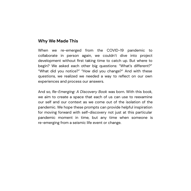#### **Why We Made This**

When we re-emerged from the COVID-19 pandemic to collaborate in person again, we couldn't dive into project development without first taking time to catch up. But where to begin? We asked each other big questions: "What's different?" "What did you notice?" "How did you change?" And with these questions, we realized we needed a way to reflect on our own experiences and process our answers.

And so, *Re-Emerging: A Discovery Book* was born. With this book, we aim to create a space that each of us can use to reexamine our self and our context as we come out of the isolation of the pandemic. We hope these prompts can provide helpful inspiration for moving forward with self-discovery not just at this particular pandemic moment in time, but any time when someone is re-emerging from a seismic life event or change.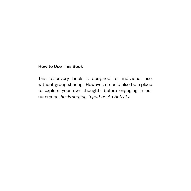#### **How to Use This Book**

This discovery book is designed for individual use, without group sharing. However, it could also be a place to explore your own thoughts before engaging in our communal *Re-Emerging Together: An Activity.*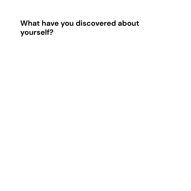## **What have you discovered about yourself?**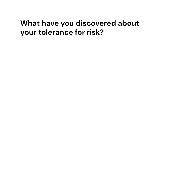## **What have you discovered about your tolerance for risk?**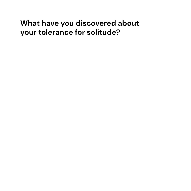## **What have you discovered about your tolerance for solitude?**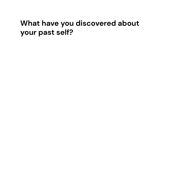## **What have you discovered about your past self?**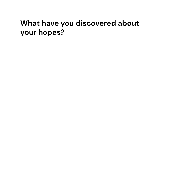# **What have you discovered about your hopes?**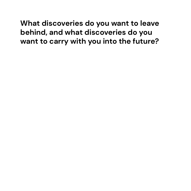**What discoveries do you want to leave behind, and what discoveries do you want to carry with you into the future?**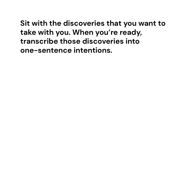**Sit with the discoveries that you want to take with you. When you're ready, transcribe those discoveries into one-sentence intentions.**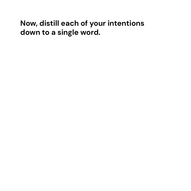## **Now, distill each of your intentions down to a single word.**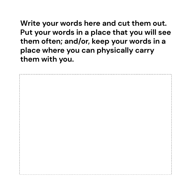**Write your words here and cut them out. Put your words in a place that you will see them often; and/or, keep your words in a place where you can physically carry them with you.**